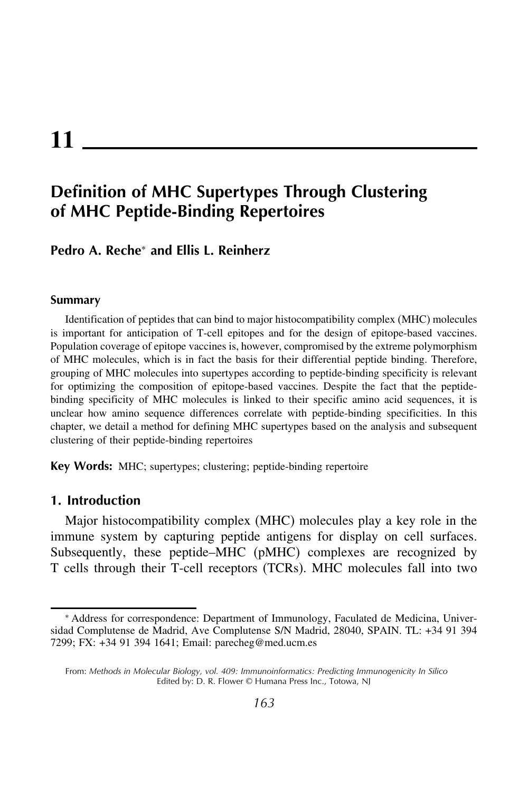# **11**

## **Definition of MHC Supertypes Through Clustering of MHC Peptide-Binding Repertoires**

**Pedro A. Reche**<sup>∗</sup> **and Ellis L. Reinherz**

#### **Summary**

Identification of peptides that can bind to major histocompatibility complex (MHC) molecules is important for anticipation of T-cell epitopes and for the design of epitope-based vaccines. Population coverage of epitope vaccines is, however, compromised by the extreme polymorphism of MHC molecules, which is in fact the basis for their differential peptide binding. Therefore, grouping of MHC molecules into supertypes according to peptide-binding specificity is relevant for optimizing the composition of epitope-based vaccines. Despite the fact that the peptidebinding specificity of MHC molecules is linked to their specific amino acid sequences, it is unclear how amino sequence differences correlate with peptide-binding specificities. In this chapter, we detail a method for defining MHC supertypes based on the analysis and subsequent clustering of their peptide-binding repertoires

**Key Words:** MHC; supertypes; clustering; peptide-binding repertoire

#### **1. Introduction**

Major histocompatibility complex (MHC) molecules play a key role in the immune system by capturing peptide antigens for display on cell surfaces. Subsequently, these peptide–MHC (pMHC) complexes are recognized by T cells through their T-cell receptors (TCRs). MHC molecules fall into two

<sup>∗</sup> Address for correspondence: Department of Immunology, Faculated de Medicina, Universidad Complutense de Madrid, Ave Complutense S/N Madrid, 28040, SPAIN. TL: +34 91 394 7299; FX: +34 91 394 1641; Email: parecheg@med.ucm.es

From: *Methods in Molecular Biology, vol. 409: Immunoinformatics: Predicting Immunogenicity In Silico* Edited by: D. R. Flower © Humana Press Inc., Totowa, NJ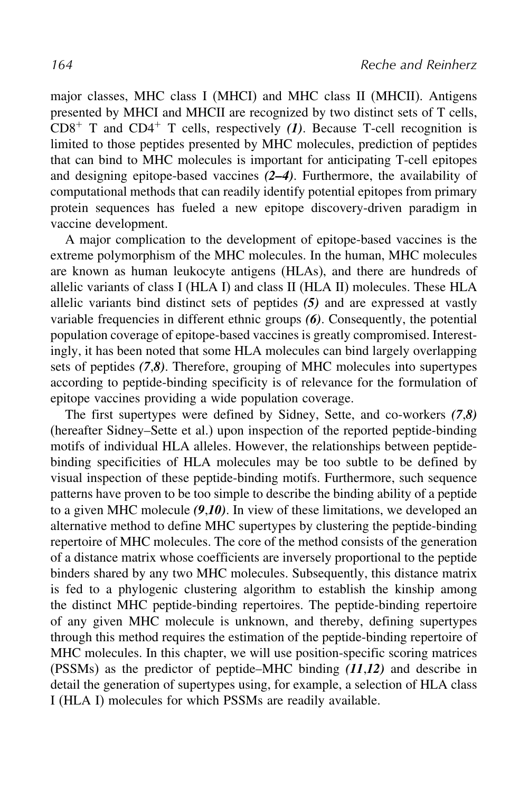major classes, MHC class I (MHCI) and MHC class II (MHCII). Antigens presented by MHCI and MHCII are recognized by two distinct sets of T cells,  $CDS^+$  T and  $CD4^+$  T cells, respectively (1). Because T-cell recognition is limited to those peptides presented by MHC molecules, prediction of peptides that can bind to MHC molecules is important for anticipating T-cell epitopes and designing epitope-based vaccines *(2–4)*. Furthermore, the availability of computational methods that can readily identify potential epitopes from primary protein sequences has fueled a new epitope discovery-driven paradigm in vaccine development.

A major complication to the development of epitope-based vaccines is the extreme polymorphism of the MHC molecules. In the human, MHC molecules are known as human leukocyte antigens (HLAs), and there are hundreds of allelic variants of class I (HLA I) and class II (HLA II) molecules. These HLA allelic variants bind distinct sets of peptides *(5)* and are expressed at vastly variable frequencies in different ethnic groups *(6)*. Consequently, the potential population coverage of epitope-based vaccines is greatly compromised. Interestingly, it has been noted that some HLA molecules can bind largely overlapping sets of peptides *(7*,*8)*. Therefore, grouping of MHC molecules into supertypes according to peptide-binding specificity is of relevance for the formulation of epitope vaccines providing a wide population coverage.

The first supertypes were defined by Sidney, Sette, and co-workers *(7*,*8)* (hereafter Sidney–Sette et al.) upon inspection of the reported peptide-binding motifs of individual HLA alleles. However, the relationships between peptidebinding specificities of HLA molecules may be too subtle to be defined by visual inspection of these peptide-binding motifs. Furthermore, such sequence patterns have proven to be too simple to describe the binding ability of a peptide to a given MHC molecule *(9*,*10)*. In view of these limitations, we developed an alternative method to define MHC supertypes by clustering the peptide-binding repertoire of MHC molecules. The core of the method consists of the generation of a distance matrix whose coefficients are inversely proportional to the peptide binders shared by any two MHC molecules. Subsequently, this distance matrix is fed to a phylogenic clustering algorithm to establish the kinship among the distinct MHC peptide-binding repertoires. The peptide-binding repertoire of any given MHC molecule is unknown, and thereby, defining supertypes through this method requires the estimation of the peptide-binding repertoire of MHC molecules. In this chapter, we will use position-specific scoring matrices (PSSMs) as the predictor of peptide–MHC binding *(11*,*12)* and describe in detail the generation of supertypes using, for example, a selection of HLA class I (HLA I) molecules for which PSSMs are readily available.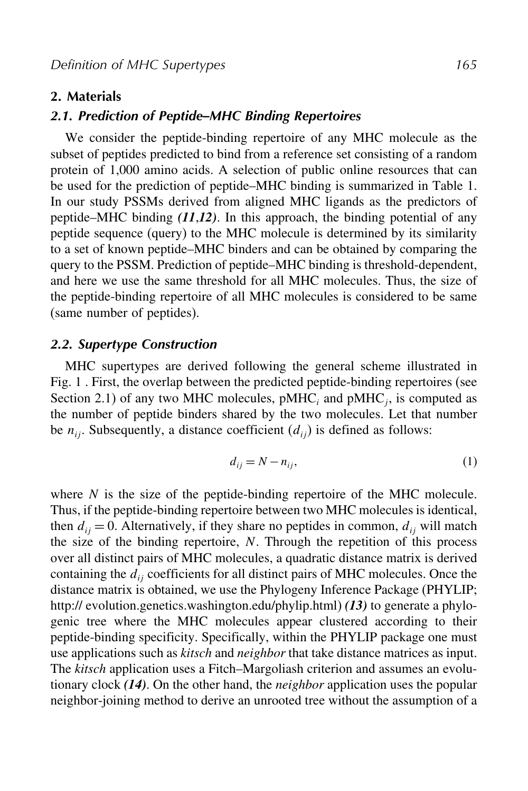#### **2. Materials**

#### *2.1. Prediction of Peptide–MHC Binding Repertoires*

We consider the peptide-binding repertoire of any MHC molecule as the subset of peptides predicted to bind from a reference set consisting of a random protein of 1,000 amino acids. A selection of public online resources that can be used for the prediction of peptide–MHC binding is summarized in Table 1. In our study PSSMs derived from aligned MHC ligands as the predictors of peptide–MHC binding *(11*,*12)*. In this approach, the binding potential of any peptide sequence (query) to the MHC molecule is determined by its similarity to a set of known peptide–MHC binders and can be obtained by comparing the query to the PSSM. Prediction of peptide–MHC binding is threshold-dependent, and here we use the same threshold for all MHC molecules. Thus, the size of the peptide-binding repertoire of all MHC molecules is considered to be same (same number of peptides).

#### *2.2. Supertype Construction*

MHC supertypes are derived following the general scheme illustrated in Fig. 1 . First, the overlap between the predicted peptide-binding repertoires (see Section 2.1) of any two MHC molecules,  $pMHC$ <sub>i</sub> and  $pMHC$ <sub>i</sub>, is computed as the number of peptide binders shared by the two molecules. Let that number be  $n_{ii}$ . Subsequently, a distance coefficient  $(d_{ii})$  is defined as follows:

$$
d_{ij} = N - n_{ij},\tag{1}
$$

where  $N$  is the size of the peptide-binding repertoire of the MHC molecule. Thus, if the peptide-binding repertoire between two MHC molecules is identical, then  $d_{ij} = 0$ . Alternatively, if they share no peptides in common,  $d_{ij}$  will match the size of the binding repertoire,  $N$ . Through the repetition of this process over all distinct pairs of MHC molecules, a quadratic distance matrix is derived containing the  $d_{ii}$  coefficients for all distinct pairs of MHC molecules. Once the distance matrix is obtained, we use the Phylogeny Inference Package (PHYLIP; http:// evolution.genetics.washington.edu/phylip.html) *(13)* to generate a phylogenic tree where the MHC molecules appear clustered according to their peptide-binding specificity. Specifically, within the PHYLIP package one must use applications such as *kitsch* and *neighbor* that take distance matrices as input. The *kitsch* application uses a Fitch–Margoliash criterion and assumes an evolutionary clock *(14)*. On the other hand, the *neighbor* application uses the popular neighbor-joining method to derive an unrooted tree without the assumption of a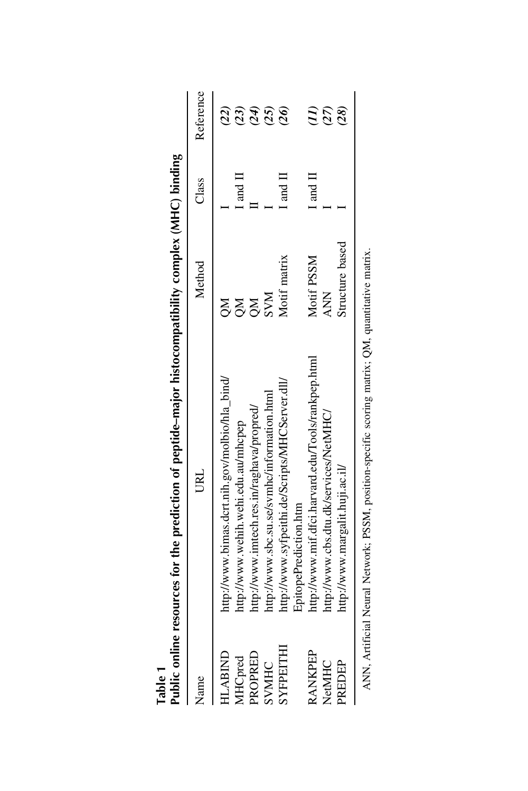| Table 1        | Public online resources for the prediction of peptide-major histocompatibility complex (MHC) binding |                 |                               |                 |
|----------------|------------------------------------------------------------------------------------------------------|-----------------|-------------------------------|-----------------|
| Name           | URL                                                                                                  | Method          | Class                         | Reference       |
| HLABIND        | http://www.bimas.dcrt.nih.gov/molbio/hla_bind/                                                       | X               |                               | $\overline{22}$ |
| MHCpred        | http://www.wehih.wehi.edu.au/mhcpep                                                                  | $\mathbb{R}^2$  | $\mathbb{I}$ and $\mathbb{I}$ | (23)            |
| PROPRED        | http://www.imtech.res.in/raghava/propred/                                                            | <b>NO</b>       |                               | (24)            |
| SVMHC          | http://www.sbc.su.se/symhc/information.html                                                          | <b>NNS</b>      |                               | (25)            |
| SYFPEITHI      | http://www.syfpeithi.de/Scripts/MHCServer.dll/<br>EpitopePrediction.htm                              | Motif matrix    | $\rm I$ and $\rm II$          | (26)            |
| <b>RANKPEP</b> | http://www.mif.dfci.harvard.edu/Tools/rankpep.html                                                   | Motif PSSM      | $\rm{I}$ and $\rm{I}$         |                 |
| NetMHC         | http://www.cbs.dtu.dk/services/NetMHC/                                                               | <b>ANN</b>      |                               | (27)            |
| PREDEP         | http://www.margalit.huji.ac.il/                                                                      | Structure based |                               | (28)            |
|                | ANN, Artificial Neural Network; PSSM, position-specific scoring matrix; QM, quantitative matrix      |                 |                               |                 |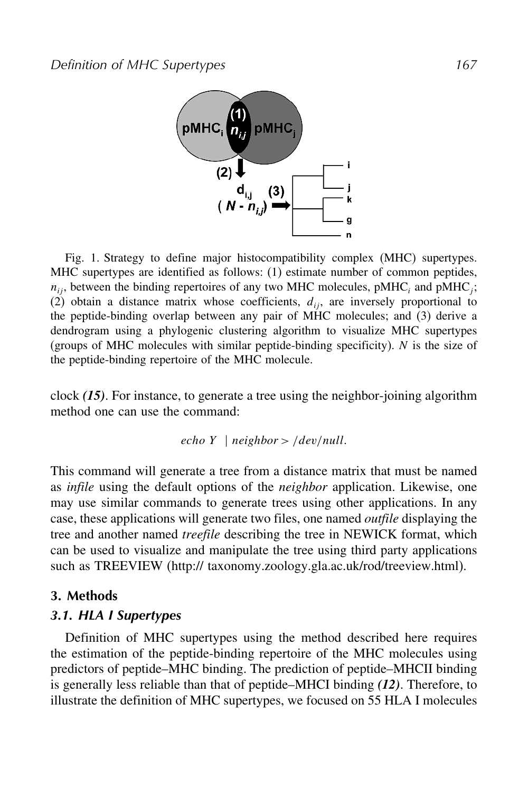

Fig. 1. Strategy to define major histocompatibility complex (MHC) supertypes. MHC supertypes are identified as follows: (1) estimate number of common peptides,  $n_{ij}$ , between the binding repertoires of any two MHC molecules, pMHC<sub>i</sub> and pMHC<sub>i</sub>; (2) obtain a distance matrix whose coefficients,  $d_{ii}$ , are inversely proportional to the peptide-binding overlap between any pair of MHC molecules; and (3) derive a dendrogram using a phylogenic clustering algorithm to visualize MHC supertypes (groups of MHC molecules with similar peptide-binding specificity).  $N$  is the size of the peptide-binding repertoire of the MHC molecule.

clock *(15)*. For instance, to generate a tree using the neighbor-joining algorithm method one can use the command:

*echo* 
$$
Y
$$
 | *neighbor* > /dev*/null*.

This command will generate a tree from a distance matrix that must be named as *infile* using the default options of the *neighbor* application. Likewise, one may use similar commands to generate trees using other applications. In any case, these applications will generate two files, one named *outfile* displaying the tree and another named *treefile* describing the tree in NEWICK format, which can be used to visualize and manipulate the tree using third party applications such as TREEVIEW (http:// taxonomy.zoology.gla.ac.uk/rod/treeview.html).

#### **3. Methods**

#### *3.1. HLA I Supertypes*

Definition of MHC supertypes using the method described here requires the estimation of the peptide-binding repertoire of the MHC molecules using predictors of peptide–MHC binding. The prediction of peptide–MHCII binding is generally less reliable than that of peptide–MHCI binding *(12)*. Therefore, to illustrate the definition of MHC supertypes, we focused on 55 HLA I molecules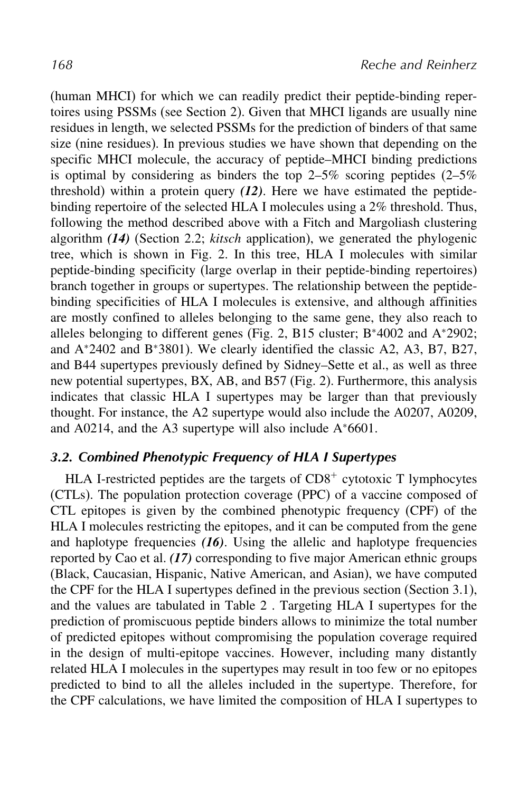(human MHCI) for which we can readily predict their peptide-binding repertoires using PSSMs (see Section 2). Given that MHCI ligands are usually nine residues in length, we selected PSSMs for the prediction of binders of that same size (nine residues). In previous studies we have shown that depending on the specific MHCI molecule, the accuracy of peptide–MHCI binding predictions is optimal by considering as binders the top  $2-5\%$  scoring peptides  $(2-5\%$ threshold) within a protein query *(12)*. Here we have estimated the peptidebinding repertoire of the selected HLA I molecules using a 2% threshold. Thus, following the method described above with a Fitch and Margoliash clustering algorithm *(14)* (Section 2.2; *kitsch* application), we generated the phylogenic tree, which is shown in Fig. 2. In this tree, HLA I molecules with similar peptide-binding specificity (large overlap in their peptide-binding repertoires) branch together in groups or supertypes. The relationship between the peptidebinding specificities of HLA I molecules is extensive, and although affinities are mostly confined to alleles belonging to the same gene, they also reach to alleles belonging to different genes (Fig. 2, B15 cluster; B<sup>∗</sup>4002 and A<sup>∗</sup>2902; and A<sup>∗</sup>2402 and B<sup>∗</sup>3801). We clearly identified the classic A2, A3, B7, B27, and B44 supertypes previously defined by Sidney–Sette et al., as well as three new potential supertypes, BX, AB, and B57 (Fig. 2). Furthermore, this analysis indicates that classic HLA I supertypes may be larger than that previously thought. For instance, the A2 supertype would also include the A0207, A0209, and A0214, and the A3 supertype will also include A<sup>∗</sup>6601.

### *3.2. Combined Phenotypic Frequency of HLA I Supertypes*

HLA I-restricted peptides are the targets of  $CD8<sup>+</sup>$  cytotoxic T lymphocytes (CTLs). The population protection coverage (PPC) of a vaccine composed of CTL epitopes is given by the combined phenotypic frequency (CPF) of the HLA I molecules restricting the epitopes, and it can be computed from the gene and haplotype frequencies *(16)*. Using the allelic and haplotype frequencies reported by Cao et al. *(17)* corresponding to five major American ethnic groups (Black, Caucasian, Hispanic, Native American, and Asian), we have computed the CPF for the HLA I supertypes defined in the previous section (Section 3.1), and the values are tabulated in Table 2 . Targeting HLA I supertypes for the prediction of promiscuous peptide binders allows to minimize the total number of predicted epitopes without compromising the population coverage required in the design of multi-epitope vaccines. However, including many distantly related HLA I molecules in the supertypes may result in too few or no epitopes predicted to bind to all the alleles included in the supertype. Therefore, for the CPF calculations, we have limited the composition of HLA I supertypes to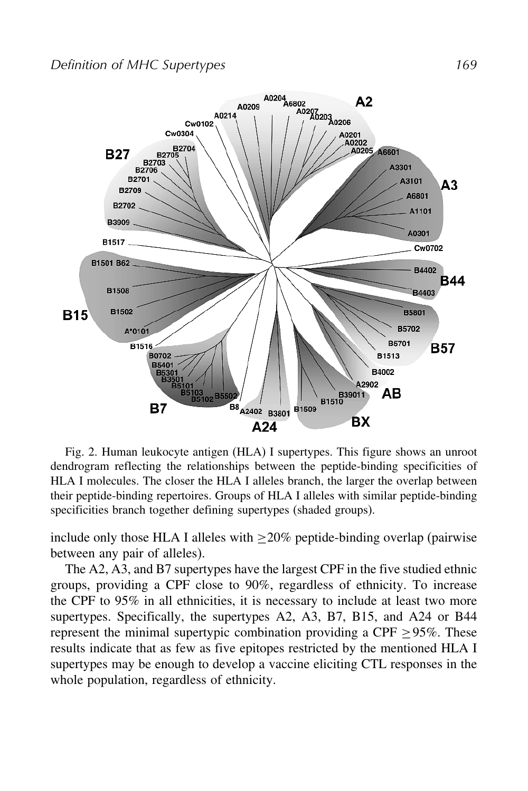

Fig. 2. Human leukocyte antigen (HLA) I supertypes. This figure shows an unroot dendrogram reflecting the relationships between the peptide-binding specificities of HLA I molecules. The closer the HLA I alleles branch, the larger the overlap between their peptide-binding repertoires. Groups of HLA I alleles with similar peptide-binding specificities branch together defining supertypes (shaded groups).

include only those HLA I alleles with  $\geq$ 20% peptide-binding overlap (pairwise between any pair of alleles).

The A2, A3, and B7 supertypes have the largest CPF in the five studied ethnic groups, providing a CPF close to 90%, regardless of ethnicity. To increase the CPF to 95% in all ethnicities, it is necessary to include at least two more supertypes. Specifically, the supertypes A2, A3, B7, B15, and A24 or B44 represent the minimal supertypic combination providing a CPF  $\geq$ 95%. These results indicate that as few as five epitopes restricted by the mentioned HLA I supertypes may be enough to develop a vaccine eliciting CTL responses in the whole population, regardless of ethnicity.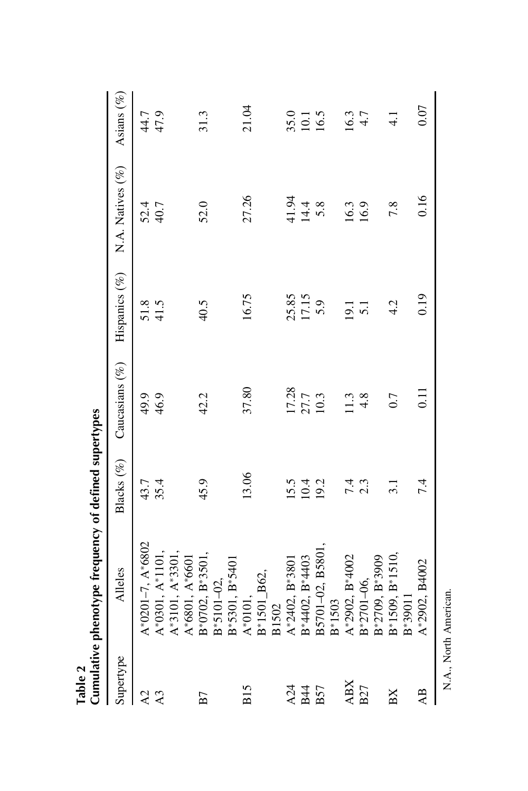|                 | Cumulative phenotype frequency of defined supertypes |               |                   |                  |                  |               |
|-----------------|------------------------------------------------------|---------------|-------------------|------------------|------------------|---------------|
| Supertype       | <b>Alleles</b>                                       | Blacks (%)    | Caucasians $(\%)$ | Hispanics (%)    | N.A. Natives (%) | Asians $(\%)$ |
| A2              | $A*0201-7, A*6802$                                   | 43.7          | 49.9              | 51.8             | 52.4             | 44.7          |
| A <sub>3</sub>  | $A*0301, A*1101,$                                    | 35.4          | 46.9              | 41.5             | 40.7             | 47.9          |
|                 | $A*3101, A*3301$                                     |               |                   |                  |                  |               |
|                 | $A*6801, A*6601$                                     |               |                   |                  |                  |               |
| B7              | B*0702, B*3501,                                      | 45.9          | 42.2              | 40.5             | 52.0             | 31.3          |
|                 | $B*5101-02$ ,                                        |               |                   |                  |                  |               |
|                 | B*5301, B*5401                                       |               |                   |                  |                  |               |
| <b>B15</b>      | A*0101,                                              | 13.06         | 37.80             | 16.75            | 27.26            | 21.04         |
|                 | B*1501_B62,                                          |               |                   |                  |                  |               |
|                 | B1502                                                |               |                   |                  |                  |               |
| A24             | $A*2402, B*3801$                                     | 15.5          | 17.28             | 25.85            | 41.94            | 35.0          |
| <b>B44</b>      | B*4402, B*4403                                       | 10.4          | 27.7              | 17.15            | 14.4             | 10.1          |
| <b>B57</b>      | B5701-02, B5801,                                     | 19.2          | 10.3              | 5.9              | 5.8              | 16.5          |
|                 | B*1503                                               |               |                   |                  |                  |               |
| <b>ABX</b>      | A*2902, B*4002                                       | 7.4           |                   | 19.1             | 16.3             | 16.3          |
| <b>B27</b>      | B*2701-06,                                           | 2.3           | $4.\overline{8}$  | $\overline{5}.1$ | 16.9             | 4.7           |
|                 | B*2709, B*3909                                       |               |                   |                  |                  |               |
| BX              | $B*1509$ , $B*1510$                                  | $\frac{1}{3}$ | 0.7               | 4.2              | 7.8              | $\frac{1}{4}$ |
|                 | B*39011                                              |               |                   |                  |                  |               |
| $\overline{AB}$ | A*2902, B4002                                        | 7.4           | $\Xi$             | 0.19             | 0.16             | 0.07          |
|                 | N.A., North American.                                |               |                   |                  |                  |               |

**Table 2**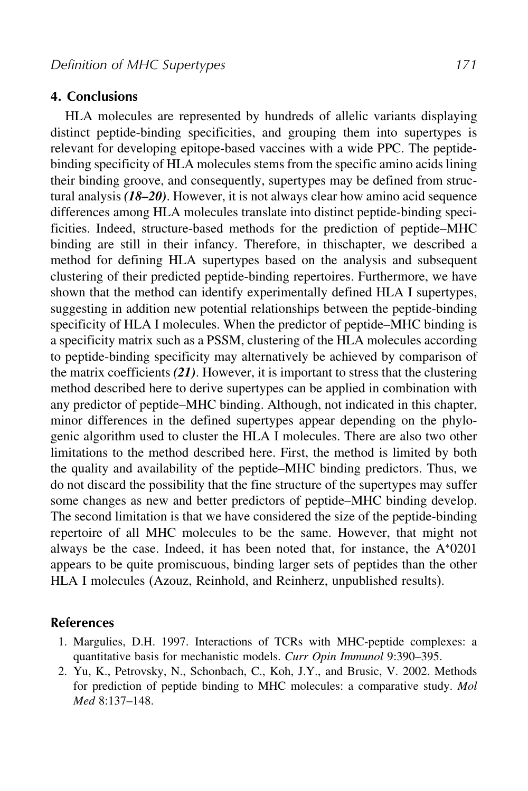#### **4. Conclusions**

HLA molecules are represented by hundreds of allelic variants displaying distinct peptide-binding specificities, and grouping them into supertypes is relevant for developing epitope-based vaccines with a wide PPC. The peptidebinding specificity of HLA molecules stems from the specific amino acids lining their binding groove, and consequently, supertypes may be defined from structural analysis *(18–20)*. However, it is not always clear how amino acid sequence differences among HLA molecules translate into distinct peptide-binding specificities. Indeed, structure-based methods for the prediction of peptide–MHC binding are still in their infancy. Therefore, in thischapter, we described a method for defining HLA supertypes based on the analysis and subsequent clustering of their predicted peptide-binding repertoires. Furthermore, we have shown that the method can identify experimentally defined HLA I supertypes, suggesting in addition new potential relationships between the peptide-binding specificity of HLA I molecules. When the predictor of peptide–MHC binding is a specificity matrix such as a PSSM, clustering of the HLA molecules according to peptide-binding specificity may alternatively be achieved by comparison of the matrix coefficients *(21)*. However, it is important to stress that the clustering method described here to derive supertypes can be applied in combination with any predictor of peptide–MHC binding. Although, not indicated in this chapter, minor differences in the defined supertypes appear depending on the phylogenic algorithm used to cluster the HLA I molecules. There are also two other limitations to the method described here. First, the method is limited by both the quality and availability of the peptide–MHC binding predictors. Thus, we do not discard the possibility that the fine structure of the supertypes may suffer some changes as new and better predictors of peptide–MHC binding develop. The second limitation is that we have considered the size of the peptide-binding repertoire of all MHC molecules to be the same. However, that might not always be the case. Indeed, it has been noted that, for instance, the  $A*0201$ appears to be quite promiscuous, binding larger sets of peptides than the other HLA I molecules (Azouz, Reinhold, and Reinherz, unpublished results).

#### **References**

- 1. Margulies, D.H. 1997. Interactions of TCRs with MHC-peptide complexes: a quantitative basis for mechanistic models. *Curr Opin Immunol* 9:390–395.
- 2. Yu, K., Petrovsky, N., Schonbach, C., Koh, J.Y., and Brusic, V. 2002. Methods for prediction of peptide binding to MHC molecules: a comparative study. *Mol Med* 8:137–148.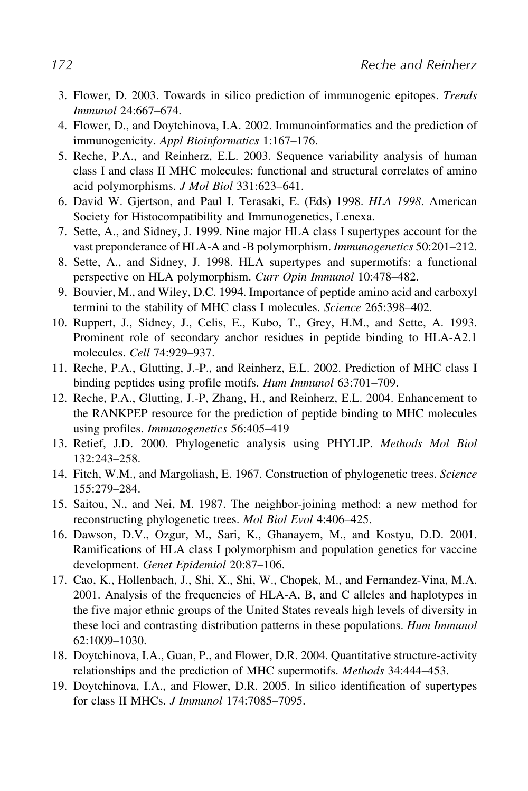- 3. Flower, D. 2003. Towards in silico prediction of immunogenic epitopes. *Trends Immunol* 24:667–674.
- 4. Flower, D., and Doytchinova, I.A. 2002. Immunoinformatics and the prediction of immunogenicity. *Appl Bioinformatics* 1:167–176.
- 5. Reche, P.A., and Reinherz, E.L. 2003. Sequence variability analysis of human class I and class II MHC molecules: functional and structural correlates of amino acid polymorphisms. *J Mol Biol* 331:623–641.
- 6. David W. Gjertson, and Paul I. Terasaki, E. (Eds) 1998. *HLA 1998*. American Society for Histocompatibility and Immunogenetics, Lenexa.
- 7. Sette, A., and Sidney, J. 1999. Nine major HLA class I supertypes account for the vast preponderance of HLA-A and -B polymorphism. *Immunogenetics* 50:201–212.
- 8. Sette, A., and Sidney, J. 1998. HLA supertypes and supermotifs: a functional perspective on HLA polymorphism. *Curr Opin Immunol* 10:478–482.
- 9. Bouvier, M., and Wiley, D.C. 1994. Importance of peptide amino acid and carboxyl termini to the stability of MHC class I molecules. *Science* 265:398–402.
- 10. Ruppert, J., Sidney, J., Celis, E., Kubo, T., Grey, H.M., and Sette, A. 1993. Prominent role of secondary anchor residues in peptide binding to HLA-A2.1 molecules. *Cell* 74:929–937.
- 11. Reche, P.A., Glutting, J.-P., and Reinherz, E.L. 2002. Prediction of MHC class I binding peptides using profile motifs. *Hum Immunol* 63:701–709.
- 12. Reche, P.A., Glutting, J.-P, Zhang, H., and Reinherz, E.L. 2004. Enhancement to the RANKPEP resource for the prediction of peptide binding to MHC molecules using profiles. *Immunogenetics* 56:405–419
- 13. Retief, J.D. 2000. Phylogenetic analysis using PHYLIP. *Methods Mol Biol* 132:243–258.
- 14. Fitch, W.M., and Margoliash, E. 1967. Construction of phylogenetic trees. *Science* 155:279–284.
- 15. Saitou, N., and Nei, M. 1987. The neighbor-joining method: a new method for reconstructing phylogenetic trees. *Mol Biol Evol* 4:406–425.
- 16. Dawson, D.V., Ozgur, M., Sari, K., Ghanayem, M., and Kostyu, D.D. 2001. Ramifications of HLA class I polymorphism and population genetics for vaccine development. *Genet Epidemiol* 20:87–106.
- 17. Cao, K., Hollenbach, J., Shi, X., Shi, W., Chopek, M., and Fernandez-Vina, M.A. 2001. Analysis of the frequencies of HLA-A, B, and C alleles and haplotypes in the five major ethnic groups of the United States reveals high levels of diversity in these loci and contrasting distribution patterns in these populations. *Hum Immunol* 62:1009–1030.
- 18. Doytchinova, I.A., Guan, P., and Flower, D.R. 2004. Quantitative structure-activity relationships and the prediction of MHC supermotifs. *Methods* 34:444–453.
- 19. Doytchinova, I.A., and Flower, D.R. 2005. In silico identification of supertypes for class II MHCs. *J Immunol* 174:7085–7095.